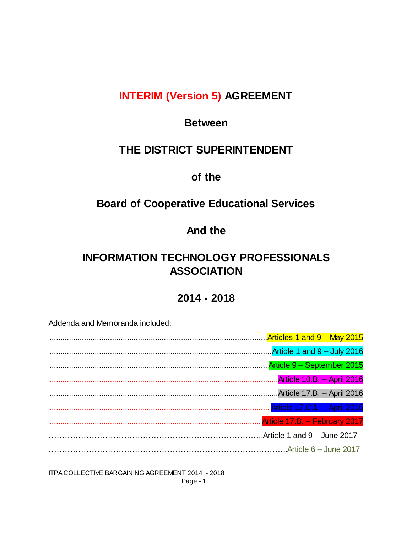# **INTERIM (Version 5) AGREEMENT**

## **Between**

# **THE DISTRICT SUPERINTENDENT**

# **of the**

# **Board of Cooperative Educational Services**

# **And the**

# **INFORMATION TECHNOLOGY PROFESSIONALS ASSOCIATION**

## **2014 - 2018**

Addenda and Memoranda included:

| www.communication.communication.communication.communication.com/server/and 9 - May 2015 |                                   |
|-----------------------------------------------------------------------------------------|-----------------------------------|
|                                                                                         | Article 1 and 9 - July 2016       |
|                                                                                         | Article 9 - September 2015        |
|                                                                                         | <b>Article 10.B. - April 2016</b> |
|                                                                                         | Article 17.B. - April 2016        |
|                                                                                         | Article 17.C.1. - April 2016      |
|                                                                                         | Article 17.B. - February 2017     |
|                                                                                         | Article 1 and $9 -$ June 2017     |
|                                                                                         |                                   |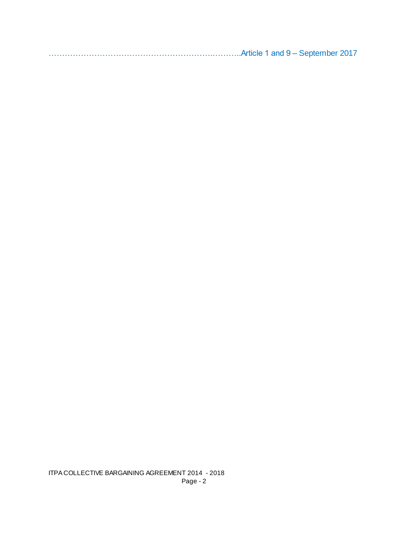…………………………………………………….………..Article 1 and 9 – September 2017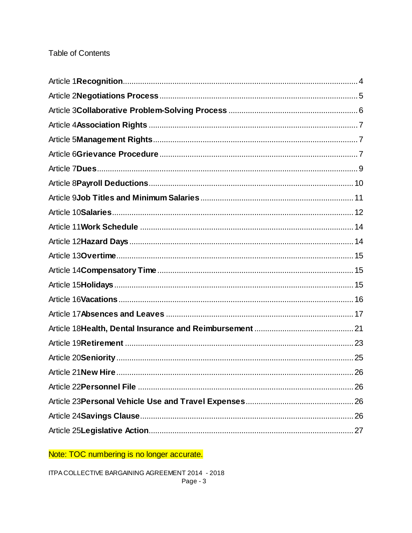## **Table of Contents**

Note: TOC numbering is no longer accurate.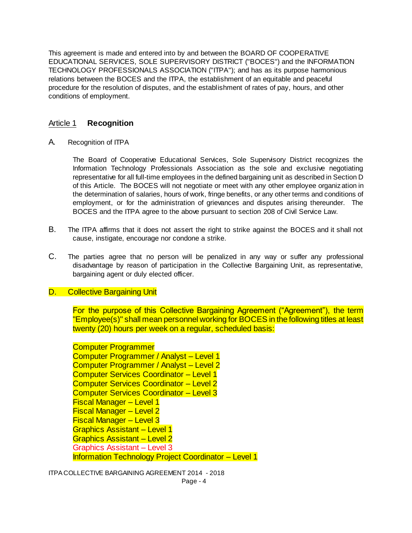This agreement is made and entered into by and between the BOARD OF COOPERATIVE EDUCATIONAL SERVICES, SOLE SUPERVISORY DISTRICT ("BOCES") and the INFORMATION TECHNOLOGY PROFESSIONALS ASSOCIATION ("ITPA"); and has as its purpose harmonious relations between the BOCES and the ITPA, the establishment of an equitable and peaceful procedure for the resolution of disputes, and the establishment of rates of pay, hours, and other conditions of employment.

## Article 1 **Recognition**

A. Recognition of ITPA

The Board of Cooperative Educational Services, Sole Supervisory District recognizes the Information Technology Professionals Association as the sole and exclusive negotiating representative for all full-time employees in the defined bargaining unit as described in Section D of this Article. The BOCES will not negotiate or meet with any other employee organization in the determination of salaries, hours of work, fringe benefits, or any other terms and conditions of employment, or for the administration of grievances and disputes arising thereunder. The BOCES and the ITPA agree to the above pursuant to section 208 of Civil Service Law.

- B. The ITPA affirms that it does not assert the right to strike against the BOCES and it shall not cause, instigate, encourage nor condone a strike.
- C. The parties agree that no person will be penalized in any way or suffer any professional disadvantage by reason of participation in the Collective Bargaining Unit, as representative, bargaining agent or duly elected officer.

### D. Collective Bargaining Unit

For the purpose of this Collective Bargaining Agreement ("Agreement"), the term "Employee(s)" shall mean personnel working for BOCES in the following titles at least twenty (20) hours per week on a regular, scheduled basis:

Computer Programmer Computer Programmer / Analyst – Level 1 Computer Programmer / Analyst – Level 2 Computer Services Coordinator – Level 1 Computer Services Coordinator – Level 2 Computer Services Coordinator – Level 3 Fiscal Manager – Level 1 Fiscal Manager – Level 2 Fiscal Manager – Level 3 Graphics Assistant – Level 1 Graphics Assistant – Level 2 Graphics Assistant – Level 3 Information Technology Project Coordinator – Level 1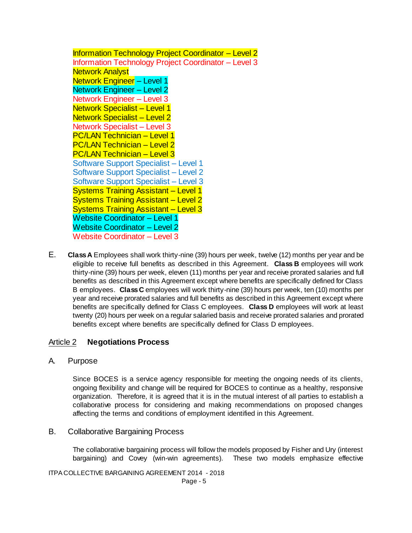Information Technology Project Coordinator – Level 2 Information Technology Project Coordinator – Level 3 Network Analyst Network Engineer – Level 1 Network Engineer – Level 2 Network Engineer – Level 3 Network Specialist – Level 1 Network Specialist – Level 2 Network Specialist – Level 3 PC/LAN Technician – Level 1 PC/LAN Technician – Level 2 PC/LAN Technician – Level 3 Software Support Specialist – Level 1 Software Support Specialist – Level 2 Software Support Specialist – Level 3 Systems Training Assistant – Level 1 Systems Training Assistant – Level 2 Systems Training Assistant – Level 3 Website Coordinator – Level 1 Website Coordinator – Level 2 Website Coordinator – Level 3

E. **Class A** Employees shall work thirty-nine (39) hours per week, twelve (12) months per year and be eligible to receive full benefits as described in this Agreement. **Class B** employees will work thirty-nine (39) hours per week, eleven (11) months per year and receive prorated salaries and full benefits as described in this Agreement except where benefits are specifically defined for Class B employees. **Class C** employees will work thirty-nine (39) hours per week, ten (10) months per year and receive prorated salaries and full benefits as described in this Agreement except where benefits are specifically defined for Class C employees. **Class D** employees will work at least twenty (20) hours per week on a regular salaried basis and receive prorated salaries and prorated benefits except where benefits are specifically defined for Class D employees.

## Article 2 **Negotiations Process**

A. Purpose

Since BOCES is a service agency responsible for meeting the ongoing needs of its clients, ongoing flexibility and change will be required for BOCES to continue as a healthy, responsive organization. Therefore, it is agreed that it is in the mutual interest of all parties to establish a collaborative process for considering and making recommendations on proposed changes affecting the terms and conditions of employment identified in this Agreement.

B. Collaborative Bargaining Process

The collaborative bargaining process will follow the models proposed by Fisher and Ury (interest bargaining) and Covey (win-win agreements). These two models emphasize effective

ITPA COLLECTIVE BARGAINING AGREEMENT 2014 - 2018

Page - 5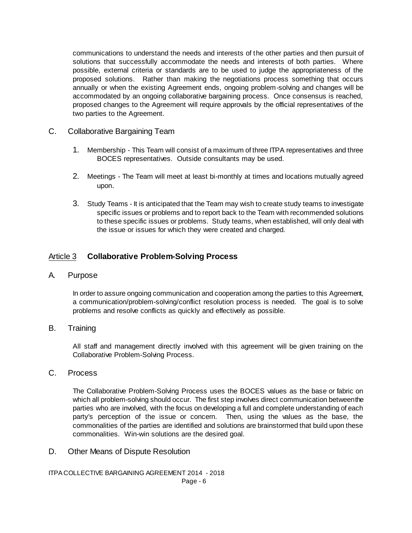communications to understand the needs and interests of the other parties and then pursuit of solutions that successfully accommodate the needs and interests of both parties. Where possible, external criteria or standards are to be used to judge the appropriateness of the proposed solutions. Rather than making the negotiations process something that occurs annually or when the existing Agreement ends, ongoing problem-solving and changes will be accommodated by an ongoing collaborative bargaining process. Once consensus is reached, proposed changes to the Agreement will require approvals by the official representatives of the two parties to the Agreement.

- C. Collaborative Bargaining Team
	- 1. Membership This Team will consist of a maximum of three ITPA representatives and three BOCES representatives. Outside consultants may be used.
	- 2. Meetings The Team will meet at least bi-monthly at times and locations mutually agreed upon.
	- 3. Study Teams It is anticipated that the Team may wish to create study teams to investigate specific issues or problems and to report back to the Team with recommended solutions to these specific issues or problems. Study teams, when established, will only deal with the issue or issues for which they were created and charged.

## Article 3 **Collaborative Problem-Solving Process**

A. Purpose

In order to assure ongoing communication and cooperation among the parties to this Agreement, a communication/problem-solving/conflict resolution process is needed. The goal is to solve problems and resolve conflicts as quickly and effectively as possible.

### B. Training

All staff and management directly involved with this agreement will be given training on the Collaborative Problem-Solving Process.

### C. Process

The Collaborative Problem-Solving Process uses the BOCES values as the base or fabric on which all problem-solving should occur. The first step involves direct communication between the parties who are involved, with the focus on developing a full and complete understanding of each party's perception of the issue or concern. Then, using the values as the base, the commonalities of the parties are identified and solutions are brainstormed that build upon these commonalities. Win-win solutions are the desired goal.

D. Other Means of Dispute Resolution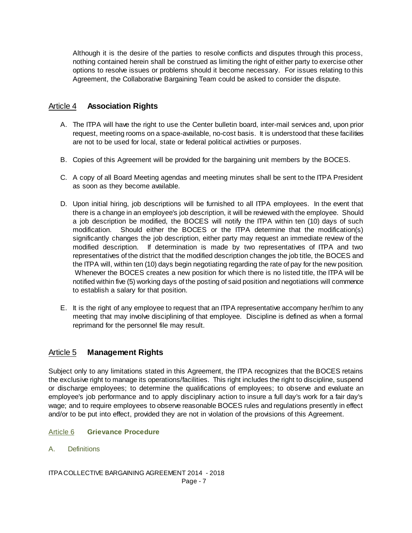Although it is the desire of the parties to resolve conflicts and disputes through this process, nothing contained herein shall be construed as limiting the right of either party to exercise other options to resolve issues or problems should it become necessary. For issues relating to this Agreement, the Collaborative Bargaining Team could be asked to consider the dispute.

### Article 4 **Association Rights**

- A. The ITPA will have the right to use the Center bulletin board, inter-mail services and, upon prior request, meeting rooms on a space-available, no-cost basis. It is understood that these facilities are not to be used for local, state or federal political activities or purposes.
- B. Copies of this Agreement will be provided for the bargaining unit members by the BOCES.
- C. A copy of all Board Meeting agendas and meeting minutes shall be sent to the ITPA President as soon as they become available.
- D. Upon initial hiring, job descriptions will be furnished to all ITPA employees. In the event that there is a change in an employee's job description, it will be reviewed with the employee. Should a job description be modified, the BOCES will notify the ITPA within ten (10) days of such modification. Should either the BOCES or the ITPA determine that the modification(s) significantly changes the job description, either party may request an immediate review of the modified description. If determination is made by two representatives of ITPA and two representatives of the district that the modified description changes the job title, the BOCES and the ITPA will, within ten (10) days begin negotiating regarding the rate of pay for the new position. Whenever the BOCES creates a new position for which there is no listed title, the ITPA will be notified within five (5) working days of the posting of said position and negotiations will commence to establish a salary for that position.
- E. It is the right of any employee to request that an ITPA representative accompany her/him to any meeting that may involve disciplining of that employee. Discipline is defined as when a formal reprimand for the personnel file may result.

## Article 5 **Management Rights**

Subject only to any limitations stated in this Agreement, the ITPA recognizes that the BOCES retains the exclusive right to manage its operations/facilities. This right includes the right to discipline, suspend or discharge employees; to determine the qualifications of employees; to observe and evaluate an employee's job performance and to apply disciplinary action to insure a full day's work for a fair day's wage; and to require employees to observe reasonable BOCES rules and regulations presently in effect and/or to be put into effect, provided they are not in violation of the provisions of this Agreement.

#### Article 6 **Grievance Procedure**

A. Definitions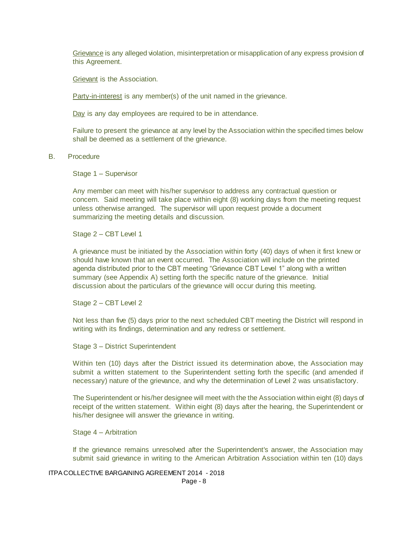Grievance is any alleged violation, misinterpretation or misapplication of any express provision of this Agreement.

Grievant is the Association.

Party-in-interest is any member(s) of the unit named in the grievance.

Day is any day employees are required to be in attendance.

Failure to present the grievance at any level by the Association within the specified times below shall be deemed as a settlement of the grievance.

B. Procedure

Stage 1 – Supervisor

Any member can meet with his/her supervisor to address any contractual question or concern. Said meeting will take place within eight (8) working days from the meeting request unless otherwise arranged. The supervisor will upon request provide a document summarizing the meeting details and discussion.

Stage 2 – CBT Level 1

A grievance must be initiated by the Association within forty (40) days of when it first knew or should have known that an event occurred. The Association will include on the printed agenda distributed prior to the CBT meeting "Grievance CBT Level 1" along with a written summary (see Appendix A) setting forth the specific nature of the grievance. Initial discussion about the particulars of the grievance will occur during this meeting.

Stage 2 – CBT Level 2

Not less than five (5) days prior to the next scheduled CBT meeting the District will respond in writing with its findings, determination and any redress or settlement.

Stage 3 – District Superintendent

Within ten (10) days after the District issued its determination above, the Association may submit a written statement to the Superintendent setting forth the specific (and amended if necessary) nature of the grievance, and why the determination of Level 2 was unsatisfactory.

The Superintendent or his/her designee will meet with the the Association within eight (8) days of receipt of the written statement. Within eight (8) days after the hearing, the Superintendent or his/her designee will answer the grievance in writing.

Stage 4 – Arbitration

If the grievance remains unresolved after the Superintendent's answer, the Association may submit said grievance in writing to the American Arbitration Association within ten (10) days

ITPA COLLECTIVE BARGAINING AGREEMENT 2014 - 2018

Page - 8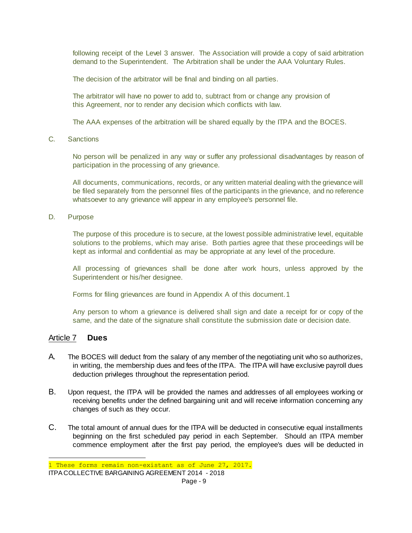following receipt of the Level 3 answer. The Association will provide a copy of said arbitration demand to the Superintendent. The Arbitration shall be under the AAA Voluntary Rules.

The decision of the arbitrator will be final and binding on all parties.

The arbitrator will have no power to add to, subtract from or change any provision of this Agreement, nor to render any decision which conflicts with law.

The AAA expenses of the arbitration will be shared equally by the ITPA and the BOCES.

C. Sanctions

No person will be penalized in any way or suffer any professional disadvantages by reason of participation in the processing of any grievance.

All documents, communications, records, or any written material dealing with the grievance will be filed separately from the personnel files of the participants in the grievance, and no reference whatsoever to any grievance will appear in any employee's personnel file.

D. Purpose

The purpose of this procedure is to secure, at the lowest possible administrative level, equitable solutions to the problems, which may arise. Both parties agree that these proceedings will be kept as informal and confidential as may be appropriate at any level of the procedure.

All processing of grievances shall be done after work hours, unless approved by the Superintendent or his/her designee.

Forms for filing grievances are found in Appendix A of this document.1

Any person to whom a grievance is delivered shall sign and date a receipt for or copy of the same, and the date of the signature shall constitute the submission date or decision date.

#### Article 7 **Dues**

i.

- A. The BOCES will deduct from the salary of any member of the negotiating unit who so authorizes, in writing, the membership dues and fees of the ITPA. The ITPA will have exclusive payroll dues deduction privileges throughout the representation period.
- B. Upon request, the ITPA will be provided the names and addresses of all employees working or receiving benefits under the defined bargaining unit and will receive information concerning any changes of such as they occur.
- C. The total amount of annual dues for the ITPA will be deducted in consecutive equal installments beginning on the first scheduled pay period in each September. Should an ITPA member commence employment after the first pay period, the employee's dues will be deducted in

ITPA COLLECTIVE BARGAINING AGREEMENT 2014 - 2018 Page - 9 1 These forms remain non-existant as of June 27, 2017.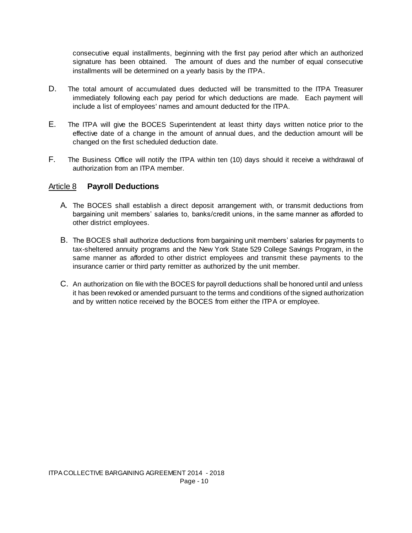consecutive equal installments, beginning with the first pay period after which an authorized signature has been obtained. The amount of dues and the number of equal consecutive installments will be determined on a yearly basis by the ITPA.

- D. The total amount of accumulated dues deducted will be transmitted to the ITPA Treasurer immediately following each pay period for which deductions are made. Each payment will include a list of employees' names and amount deducted for the ITPA.
- E. The ITPA will give the BOCES Superintendent at least thirty days written notice prior to the effective date of a change in the amount of annual dues, and the deduction amount will be changed on the first scheduled deduction date.
- F. The Business Office will notify the ITPA within ten (10) days should it receive a withdrawal of authorization from an ITPA member.

### Article 8 **Payroll Deductions**

- A. The BOCES shall establish a direct deposit arrangement with, or transmit deductions from bargaining unit members' salaries to, banks/credit unions, in the same manner as afforded to other district employees.
- B. The BOCES shall authorize deductions from bargaining unit members' salaries for payments to tax-sheltered annuity programs and the New York State 529 College Savings Program, in the same manner as afforded to other district employees and transmit these payments to the insurance carrier or third party remitter as authorized by the unit member.
- C. An authorization on file with the BOCES for payroll deductions shall be honored until and unless it has been revoked or amended pursuant to the terms and conditions of the signed authorization and by written notice received by the BOCES from either the ITPA or employee.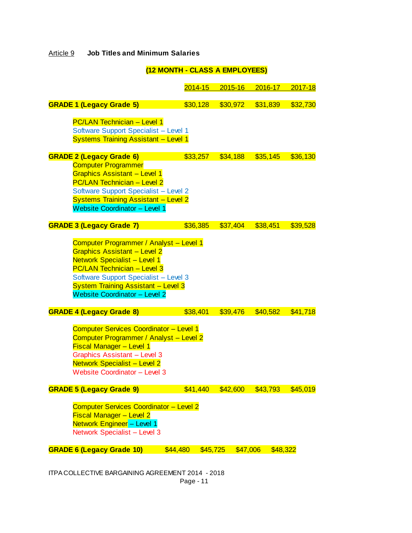## Article 9 **Job Titles and Minimum Salaries**

## **(12 MONTH - CLASS A EMPLOYEES)**

|                                                                                                                                                                                                                                                                                     | $2014 - 15$          | $2015 - 16$ | $2016 - 17$ | 2017-18  |
|-------------------------------------------------------------------------------------------------------------------------------------------------------------------------------------------------------------------------------------------------------------------------------------|----------------------|-------------|-------------|----------|
| <b>GRADE 1 (Legacy Grade 5)</b>                                                                                                                                                                                                                                                     | \$30,128             | \$30,972    | \$31,839    | \$32,730 |
| <b>PC/LAN Technician - Level 1</b><br>Software Support Specialist - Level 1<br><b>Systems Training Assistant - Level 1</b>                                                                                                                                                          |                      |             |             |          |
| <b>GRADE 2 (Legacy Grade 6)</b>                                                                                                                                                                                                                                                     | \$33,257             | \$34,188    | \$35,145    | \$36,130 |
| <b>Computer Programmer</b><br><b>Graphics Assistant - Level 1</b><br><b>PC/LAN Technician - Level 2</b><br>Software Support Specialist - Level 2                                                                                                                                    |                      |             |             |          |
| <b>Systems Training Assistant - Level 2</b><br><b>Website Coordinator - Level 1</b>                                                                                                                                                                                                 |                      |             |             |          |
| <b>GRADE 3 (Legacy Grade 7)</b>                                                                                                                                                                                                                                                     | \$36,385             | \$37,404    | \$38,451    | \$39,528 |
| Computer Programmer / Analyst - Level 1<br><b>Graphics Assistant - Level 2</b><br>Network Specialist - Level 1<br><b>PC/LAN Technician - Level 3</b><br>Software Support Specialist - Level 3<br><b>System Training Assistant - Level 3</b><br><b>Website Coordinator - Level 2</b> |                      |             |             |          |
| <b>GRADE 4 (Legacy Grade 8)</b>                                                                                                                                                                                                                                                     | \$38,401             | \$39,476    | \$40,582    | \$41,718 |
| Computer Services Coordinator - Level 1<br>Computer Programmer / Analyst - Level 2<br><b>Fiscal Manager - Level 1</b><br><b>Graphics Assistant - Level 3</b><br><b>Network Specialist - Level 2</b><br>Website Coordinator - Level 3                                                |                      |             |             |          |
| <b>GRADE 5 (Legacy Grade 9)</b>                                                                                                                                                                                                                                                     | \$41,440             | \$42,600    | \$43,793    | \$45,019 |
| <b>Computer Services Coordinator - Level 2</b><br><b>Fiscal Manager - Level 2</b><br>Network Engineer - Level 1<br>Network Specialist - Level 3<br><b>GRADE 6 (Legacy Grade 10)</b>                                                                                                 | \$44,480<br>\$45,725 | \$47,006    | \$48,322    |          |
|                                                                                                                                                                                                                                                                                     |                      |             |             |          |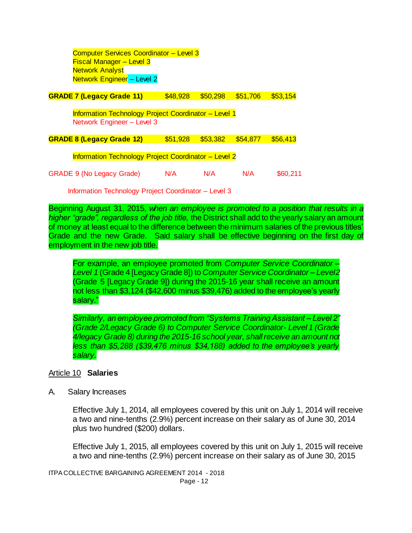Computer Services Coordinator – Level 3 Fiscal Manager – Level 3 Network Analyst Network Engineer – Level 2

**GRADE 7 (Legacy Grade 11)** \$48,928 \$50,298 \$51,706 \$53,154

Information Technology Project Coordinator – Level 1 Network Engineer – Level 3

**GRADE 8 (Legacy Grade 12)** \$51,928 \$53,382 \$54,877 \$56,413

Information Technology Project Coordinator – Level 2

GRADE 9 (No Legacy Grade)  $N/A$  N/A N/A \$60,211

Information Technology Project Coordinator – Level 3

Beginning August 31, 2015, *when an employee is promoted to a position that results in a higher "grade", regardless of the job title,* the District shall add to the yearly salary an amount of money at least equal to the difference between the minimum salaries of the previous titles' Grade and the new Grade. Said salary shall be effective beginning on the first day of employment in the new job title.

For example, an employee promoted from *Computer Service Coordinator – Level 1* (Grade 4 [Legacy Grade 8]) to *Computer Service Coordinator – Level2* (Grade 5 [Legacy Grade 9]) during the 2015-16 year shall receive an amount not less than \$3,124 (\$42,600 minus \$39,476) added to the employee's yearly salary."

*Similarly, an employee promoted from "Systems Training Assistant – Level 2" (Grade 2/Legacy Grade 6) to Computer Service Coordinator- Level 1 (Grade 4/legacy Grade 8) during the 2015-16 school year, shall receive an amount not less than \$5,288 (\$39,476 minus \$34,188) added to the employee's yearly salary.*

#### Article 10 **Salaries**

A. Salary Increases

Effective July 1, 2014, all employees covered by this unit on July 1, 2014 will receive a two and nine-tenths (2.9%) percent increase on their salary as of June 30, 2014 plus two hundred (\$200) dollars.

Effective July 1, 2015, all employees covered by this unit on July 1, 2015 will receive a two and nine-tenths (2.9%) percent increase on their salary as of June 30, 2015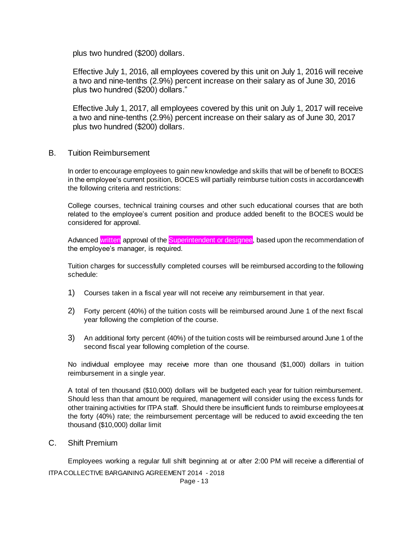plus two hundred (\$200) dollars.

Effective July 1, 2016, all employees covered by this unit on July 1, 2016 will receive a two and nine-tenths (2.9%) percent increase on their salary as of June 30, 2016 plus two hundred (\$200) dollars."

Effective July 1, 2017, all employees covered by this unit on July 1, 2017 will receive a two and nine-tenths (2.9%) percent increase on their salary as of June 30, 2017 plus two hundred (\$200) dollars.

B. Tuition Reimbursement

In order to encourage employees to gain new knowledge and skills that will be of benefit to BOCES in the employee's current position, BOCES will partially reimburse tuition costs in accordance with the following criteria and restrictions:

College courses, technical training courses and other such educational courses that are both related to the employee's current position and produce added benefit to the BOCES would be considered for approval.

Advanced written approval of the Superintendent or designee, based upon the recommendation of the employee's manager, is required.

Tuition charges for successfully completed courses will be reimbursed according to the following schedule:

- 1) Courses taken in a fiscal year will not receive any reimbursement in that year.
- 2) Forty percent (40%) of the tuition costs will be reimbursed around June 1 of the next fiscal year following the completion of the course.
- 3) An additional forty percent (40%) of the tuition costs will be reimbursed around June 1 of the second fiscal year following completion of the course.

No individual employee may receive more than one thousand (\$1,000) dollars in tuition reimbursement in a single year.

A total of ten thousand (\$10,000) dollars will be budgeted each year for tuition reimbursement. Should less than that amount be required, management will consider using the excess funds for other training activities for ITPA staff. Should there be insufficient funds to reimburse employees at the forty (40%) rate; the reimbursement percentage will be reduced to avoid exceeding the ten thousand (\$10,000) dollar limit

C. Shift Premium

Employees working a regular full shift beginning at or after 2:00 PM will receive a differential of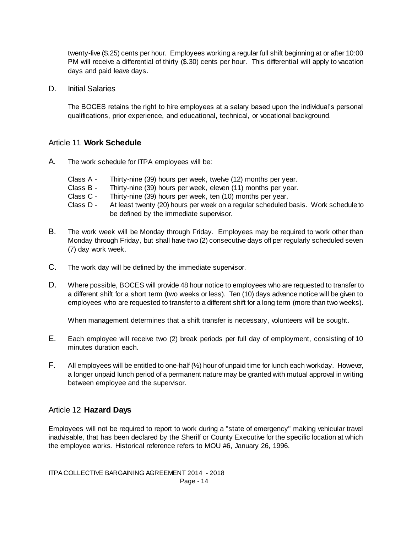twenty-five (\$.25) cents per hour. Employees working a regular full shift beginning at or after 10:00 PM will receive a differential of thirty (\$.30) cents per hour. This differential will apply to vacation days and paid leave days.

D. Initial Salaries

The BOCES retains the right to hire employees at a salary based upon the individual's personal qualifications, prior experience, and educational, technical, or vocational background.

### Article 11 **Work Schedule**

- A. The work schedule for ITPA employees will be:
	- Class A Thirty-nine (39) hours per week, twelve (12) months per year.
	- Class B Thirty-nine (39) hours per week, eleven (11) months per year.
	- Class C Thirty-nine (39) hours per week, ten (10) months per year.
	- Class D At least twenty (20) hours per week on a regular scheduled basis. Work schedule to be defined by the immediate supervisor.
- B. The work week will be Monday through Friday. Employees may be required to work other than Monday through Friday, but shall have two (2) consecutive days off per regularly scheduled seven (7) day work week.
- C. The work day will be defined by the immediate supervisor.
- D. Where possible, BOCES will provide 48 hour notice to employees who are requested to transfer to a different shift for a short term (two weeks or less). Ten (10) days advance notice will be given to employees who are requested to transfer to a different shift for a long term (more than two weeks).

When management determines that a shift transfer is necessary, volunteers will be sought.

- E. Each employee will receive two (2) break periods per full day of employment, consisting of 10 minutes duration each.
- F. All employees will be entitled to one-half  $(\frac{1}{2})$  hour of unpaid time for lunch each workday. However, a longer unpaid lunch period of a permanent nature may be granted with mutual approval in writing between employee and the supervisor.

## Article 12 **Hazard Days**

Employees will not be required to report to work during a "state of emergency" making vehicular travel inadvisable, that has been declared by the Sheriff or County Executive for the specific location at which the employee works. Historical reference refers to MOU #6, January 26, 1996.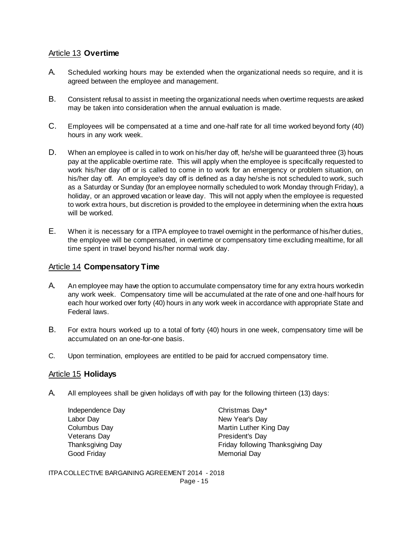## Article 13 **Overtime**

- A. Scheduled working hours may be extended when the organizational needs so require, and it is agreed between the employee and management.
- B. Consistent refusal to assist in meeting the organizational needs when overtime requests are asked may be taken into consideration when the annual evaluation is made.
- C. Employees will be compensated at a time and one-half rate for all time worked beyond forty (40) hours in any work week.
- D. When an employee is called in to work on his/her day off, he/she will be guaranteed three (3) hours pay at the applicable overtime rate. This will apply when the employee is specifically requested to work his/her day off or is called to come in to work for an emergency or problem situation, on his/her day off. An employee's day off is defined as a day he/she is not scheduled to work, such as a Saturday or Sunday (for an employee normally scheduled to work Monday through Friday), a holiday, or an approved vacation or leave day. This will not apply when the employee is requested to work extra hours, but discretion is provided to the employee in determining when the extra hours will be worked.
- E. When it is necessary for a ITPA employee to travel overnight in the performance of his/her duties, the employee will be compensated, in overtime or compensatory time excluding mealtime, for all time spent in travel beyond his/her normal work day.

## Article 14 **Compensatory Time**

- A. An employee may have the option to accumulate compensatory time for any extra hours worked in any work week. Compensatory time will be accumulated at the rate of one and one-half hours for each hour worked over forty (40) hours in any work week in accordance with appropriate State and Federal laws.
- B. For extra hours worked up to a total of forty (40) hours in one week, compensatory time will be accumulated on an one-for-one basis.
- C. Upon termination, employees are entitled to be paid for accrued compensatory time.

## Article 15 **Holidays**

A. All employees shall be given holidays off with pay for the following thirteen (13) days:

Independence Day **Christmas Day**\* Labor Day **New Year's Day** Veterans Day **President's Day** Good Friday **Memorial Day** Memorial Day

Columbus Day **Martin Luther King Day** Martin Luther King Day Thanksgiving Day Friday following Thanksgiving Day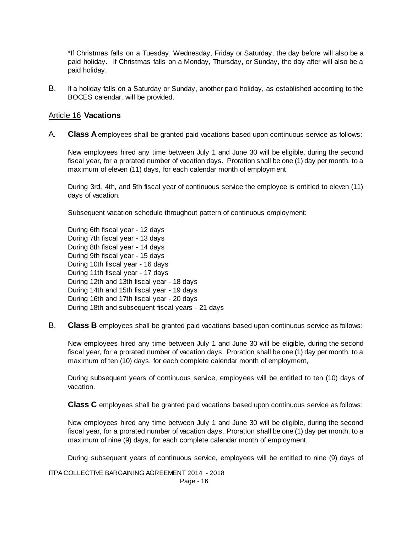\*If Christmas falls on a Tuesday, Wednesday, Friday or Saturday, the day before will also be a paid holiday. If Christmas falls on a Monday, Thursday, or Sunday, the day after will also be a paid holiday.

B. If a holiday falls on a Saturday or Sunday, another paid holiday, as established according to the BOCES calendar, will be provided.

#### Article 16 **Vacations**

A. **Class A** employees shall be granted paid vacations based upon continuous service as follows:

New employees hired any time between July 1 and June 30 will be eligible, during the second fiscal year, for a prorated number of vacation days. Proration shall be one (1) day per month, to a maximum of eleven (11) days, for each calendar month of employment.

During 3rd, 4th, and 5th fiscal year of continuous service the employee is entitled to eleven (11) days of vacation.

Subsequent vacation schedule throughout pattern of continuous employment:

During 6th fiscal year - 12 days During 7th fiscal year - 13 days During 8th fiscal year - 14 days During 9th fiscal year - 15 days During 10th fiscal year - 16 days During 11th fiscal year - 17 days During 12th and 13th fiscal year - 18 days During 14th and 15th fiscal year - 19 days During 16th and 17th fiscal year - 20 days During 18th and subsequent fiscal years - 21 days

B. **Class B** employees shall be granted paid vacations based upon continuous service as follows:

New employees hired any time between July 1 and June 30 will be eligible, during the second fiscal year, for a prorated number of vacation days. Proration shall be one (1) day per month, to a maximum of ten (10) days, for each complete calendar month of employment,

During subsequent years of continuous service, employees will be entitled to ten (10) days of vacation.

**Class C** employees shall be granted paid vacations based upon continuous service as follows:

New employees hired any time between July 1 and June 30 will be eligible, during the second fiscal year, for a prorated number of vacation days. Proration shall be one (1) day per month, to a maximum of nine (9) days, for each complete calendar month of employment,

During subsequent years of continuous service, employees will be entitled to nine (9) days of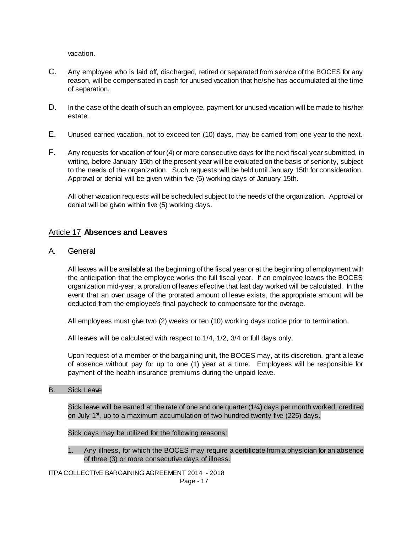vacation.

- C. Any employee who is laid off, discharged, retired or separated from service of the BOCES for any reason, will be compensated in cash for unused vacation that he/she has accumulated at the time of separation.
- D. In the case of the death of such an employee, payment for unused vacation will be made to his/her estate.
- E. Unused earned vacation, not to exceed ten (10) days, may be carried from one year to the next.
- F. Any requests for vacation of four (4) or more consecutive days for the next fiscal year submitted, in writing, before January 15th of the present year will be evaluated on the basis of seniority, subject to the needs of the organization. Such requests will be held until January 15th for consideration. Approval or denial will be given within five (5) working days of January 15th.

All other vacation requests will be scheduled subject to the needs of the organization. Approval or denial will be given within five (5) working days.

## Article 17 **Absences and Leaves**

A. General

All leaves will be available at the beginning of the fiscal year or at the beginning of employment with the anticipation that the employee works the full fiscal year. If an employee leaves the BOCES organization mid-year, a proration of leaves effective that last day worked will be calculated. In the event that an over usage of the prorated amount of leave exists, the appropriate amount will be deducted from the employee's final paycheck to compensate for the overage.

All employees must give two (2) weeks or ten (10) working days notice prior to termination.

All leaves will be calculated with respect to 1/4, 1/2, 3/4 or full days only.

Upon request of a member of the bargaining unit, the BOCES may, at its discretion, grant a leave of absence without pay for up to one (1) year at a time. Employees will be responsible for payment of the health insurance premiums during the unpaid leave.

B. Sick Leave

Sick leave will be earned at the rate of one and one quarter (1¼) days per month worked, credited on July  $1<sup>st</sup>$ , up to a maximum accumulation of two hundred twenty five (225) days.

Sick days may be utilized for the following reasons:

1. Any illness, for which the BOCES may require a certificate from a physician for an absence of three (3) or more consecutive days of illness.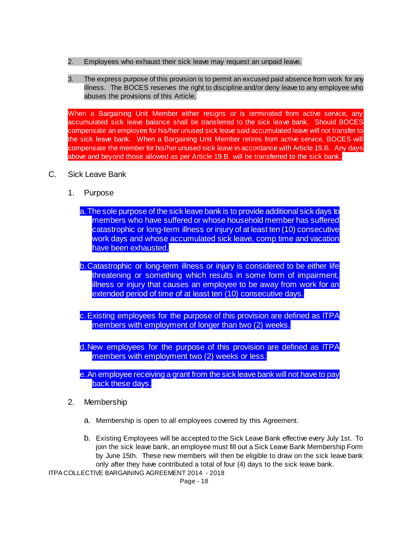- 2. Employees who exhaust their sick leave may request an unpaid leave.
- 3. The express purpose of this provision is to permit an excused paid absence from work for any illness. The BOCES reserves the right to discipline and/or deny leave to any employee who abuses the provisions of this Article.

When a Bargaining Unit Member either resigns or is terminated from active service, any accumulated sick leave balance shall be transferred to the sick leave bank. Should BOCES compensate an employee for his/her unused sick leave said accumulated leave will not transfer to the sick leave bank. When a Bargaining Unit Member retires from active service, BOCES will compensate the member for his/her unused sick leave in accordance with Article 19.B. Any days above and beyond those allowed as per Article 19.B. will be transferred to the sick bank.

- C. Sick Leave Bank
	- 1. Purpose

a.The sole purpose of the sick leave bank is to provide additional sick days to members who have suffered or whose household member has suffered catastrophic or long-term illness or injury of at least ten (10) consecutive work days and whose accumulated sick leave, comp time and vacation have been exhausted.

b.Catastrophic or long-term illness or injury is considered to be either life threatening or something which results in some form of impairment, illness or injury that causes an employee to be away from work for an extended period of time of at least ten (10) consecutive days.

c.Existing employees for the purpose of this provision are defined as ITPA members with employment of longer than two (2) weeks.

d.New employees for the purpose of this provision are defined as ITPA members with employment two (2) weeks or less.

- e.An employee receiving a grant from the sick leave bank will not have to pay back these days.
- 2. Membership
	- a. Membership is open to all employees covered by this Agreement.
	- b. Existing Employees will be accepted to the Sick Leave Bank effective every July 1st. To join the sick leave bank, an employee must fill out a Sick Leave Bank Membership Form by June 15th. These new members will then be eligible to draw on the sick leave bank only after they have contributed a total of four (4) days to the sick leave bank.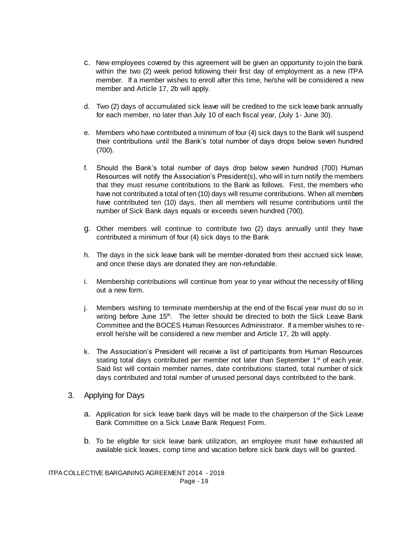- c. New employees covered by this agreement will be given an opportunity to join the bank within the two (2) week period following their first day of employment as a new ITPA member. If a member wishes to enroll after this time, he/she will be considered a new member and Article 17, 2b will apply.
- d. Two (2) days of accumulated sick leave will be credited to the sick leave bank annually for each member, no later than July 10 of each fiscal year, (July 1- June 30).
- e. Members who have contributed a minimum of four (4) sick days to the Bank will suspend their contributions until the Bank's total number of days drops below seven hundred (700).
- f. Should the Bank's total number of days drop below seven hundred (700) Human Resources will notify the Association's President(s), who will in turn notify the members that they must resume contributions to the Bank as follows. First, the members who have not contributed a total of ten (10) days will resume contributions. When all members have contributed ten (10) days, then all members will resume contributions until the number of Sick Bank days equals or exceeds seven hundred (700).
- g. Other members will continue to contribute two (2) days annually until they have contributed a minimum of four (4) sick days to the Bank
- h. The days in the sick leave bank will be member-donated from their accrued sick leave, and once these days are donated they are non-refundable.
- i. Membership contributions will continue from year to year without the necessity of filling out a new form.
- j. Members wishing to terminate membership at the end of the fiscal year must do so in writing before June  $15<sup>th</sup>$ . The letter should be directed to both the Sick Leave Bank Committee and the BOCES Human Resources Administrator. If a member wishes to reenroll he/she will be considered a new member and Article 17, 2b will apply.
- k. The Association's President will receive a list of participants from Human Resources stating total days contributed per member not later than September  $1<sup>st</sup>$  of each year. Said list will contain member names, date contributions started, total number of sick days contributed and total number of unused personal days contributed to the bank.
- 3. Applying for Days
	- a. Application for sick leave bank days will be made to the chairperson of the Sick Leave Bank Committee on a Sick Leave Bank Request Form.
	- b. To be eligible for sick leave bank utilization, an employee must have exhausted all available sick leaves, comp time and vacation before sick bank days will be granted.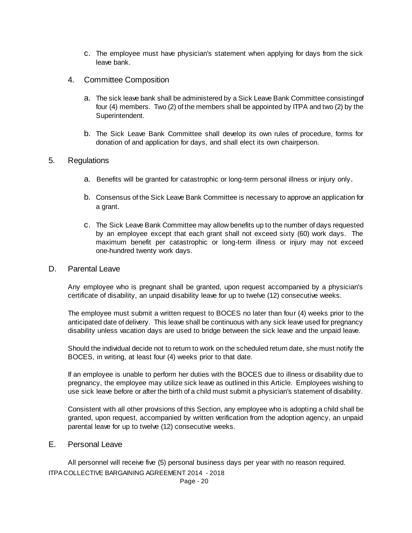- c. The employee must have physician's statement when applying for days from the sick leave bank.
- 4. Committee Composition
	- a. The sick leave bank shall be administered by a Sick Leave Bank Committee consisting of four (4) members. Two (2) of the members shall be appointed by ITPA and two (2) by the Superintendent.
	- b. The Sick Leave Bank Committee shall develop its own rules of procedure, forms for donation of and application for days, and shall elect its own chairperson.

#### 5. Regulations

- a. Benefits will be granted for catastrophic or long-term personal illness or injury only.
- b. Consensus of the Sick Leave Bank Committee is necessary to approve an application for a grant.
- c. The Sick Leave Bank Committee may allow benefits up to the number of days requested by an employee except that each grant shall not exceed sixty (60) work days. The maximum benefit per catastrophic or long-term illness or injury may not exceed one-hundred twenty work days.

#### D. Parental Leave

Any employee who is pregnant shall be granted, upon request accompanied by a physician's certificate of disability, an unpaid disability leave for up to twelve (12) consecutive weeks.

The employee must submit a written request to BOCES no later than four (4) weeks prior to the anticipated date of delivery. This leave shall be continuous with any sick leave used for pregnancy disability unless vacation days are used to bridge between the sick leave and the unpaid leave.

Should the individual decide not to return to work on the scheduled return date, she must notify the BOCES, in writing, at least four (4) weeks prior to that date.

If an employee is unable to perform her duties with the BOCES due to illness or disability due to pregnancy, the employee may utilize sick leave as outlined in this Article. Employees wishing to use sick leave before or after the birth of a child must submit a physician's statement of disability.

Consistent with all other provisions of this Section, any employee who is adopting a child shall be granted, upon request, accompanied by written verification from the adoption agency, an unpaid parental leave for up to twelve (12) consecutive weeks.

## E. Personal Leave

ITPA COLLECTIVE BARGAINING AGREEMENT 2014 - 2018 All personnel will receive five (5) personal business days per year with no reason required.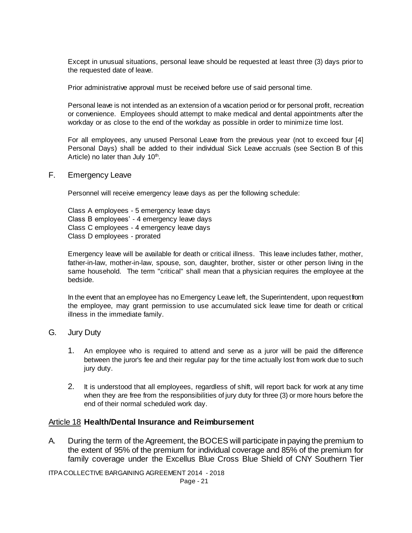Except in unusual situations, personal leave should be requested at least three (3) days prior to the requested date of leave.

Prior administrative approval must be received before use of said personal time.

Personal leave is not intended as an extension of a vacation period or for personal profit, recreation or convenience. Employees should attempt to make medical and dental appointments after the workday or as close to the end of the workday as possible in order to minimize time lost.

For all employees, any unused Personal Leave from the previous year (not to exceed four [4] Personal Days) shall be added to their individual Sick Leave accruals (see Section B of this Article) no later than July 10<sup>th</sup>.

#### F. Emergency Leave

Personnel will receive emergency leave days as per the following schedule:

Class A employees - 5 emergency leave days Class B employees' - 4 emergency leave days Class C employees - 4 emergency leave days Class D employees - prorated

Emergency leave will be available for death or critical illness. This leave includes father, mother, father-in-law, mother-in-law, spouse, son, daughter, brother, sister or other person living in the same household. The term "critical" shall mean that a physician requires the employee at the bedside.

In the event that an employee has no Emergency Leave left, the Superintendent, upon request from the employee, may grant permission to use accumulated sick leave time for death or critical illness in the immediate family.

### G. Jury Duty

- 1. An employee who is required to attend and serve as a juror will be paid the difference between the juror's fee and their regular pay for the time actually lost from work due to such jury duty.
- 2. It is understood that all employees, regardless of shift, will report back for work at any time when they are free from the responsibilities of jury duty for three (3) or more hours before the end of their normal scheduled work day.

### Article 18 **Health/Dental Insurance and Reimbursement**

A. During the term of the Agreement, the BOCES will participate in paying the premium to the extent of 95% of the premium for individual coverage and 85% of the premium for family coverage under the Excellus Blue Cross Blue Shield of CNY Southern Tier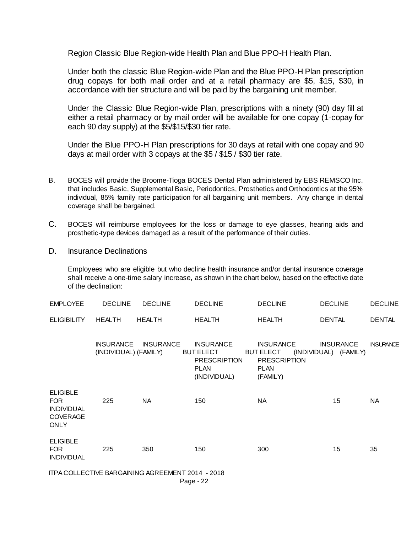Region Classic Blue Region-wide Health Plan and Blue PPO-H Health Plan.

Under both the classic Blue Region-wide Plan and the Blue PPO-H Plan prescription drug copays for both mail order and at a retail pharmacy are \$5, \$15, \$30, in accordance with tier structure and will be paid by the bargaining unit member.

Under the Classic Blue Region-wide Plan, prescriptions with a ninety (90) day fill at either a retail pharmacy or by mail order will be available for one copay (1-copay for each 90 day supply) at the \$5/\$15/\$30 tier rate.

Under the Blue PPO-H Plan prescriptions for 30 days at retail with one copay and 90 days at mail order with 3 copays at the \$5 / \$15 / \$30 tier rate.

- B. BOCES will provide the Broome-Tioga BOCES Dental Plan administered by EBS REMSCO Inc. that includes Basic, Supplemental Basic, Periodontics, Prosthetics and Orthodontics at the 95% individual, 85% family rate participation for all bargaining unit members. Any change in dental coverage shall be bargained.
- C. BOCES will reimburse employees for the loss or damage to eye glasses, hearing aids and prosthetic-type devices damaged as a result of the performance of their duties.
- D. Insurance Declinations

Employees who are eligible but who decline health insurance and/or dental insurance coverage shall receive a one-time salary increase, as shown in the chart below, based on the effective date of the declination:

| <b>EMPLOYEE</b>                                                                      | <b>DECLINE</b>        | <b>DECLINE</b>      | <b>DECLINE</b>                                                                             | <b>DECLINE</b>                                                                         | <b>DECLINE</b>                            | <b>DECLINE</b>   |
|--------------------------------------------------------------------------------------|-----------------------|---------------------|--------------------------------------------------------------------------------------------|----------------------------------------------------------------------------------------|-------------------------------------------|------------------|
| <b>ELIGIBILITY</b>                                                                   | HEALTH                | <b>HEALTH</b>       | HEALTH                                                                                     | HEALTH                                                                                 | <b>DENTAL</b>                             | <b>DENTAL</b>    |
|                                                                                      | (INDIVIDUAL) (FAMILY) | INSURANCE INSURANCE | <b>INSURANCE</b><br><b>BUT ELECT</b><br><b>PRESCRIPTION</b><br><b>PLAN</b><br>(INDIVIDUAL) | <b>INSURANCE</b><br><b>BUT ELECT</b><br><b>PRESCRIPTION</b><br><b>PLAN</b><br>(FAMILY) | <b>INSURANCE</b><br>(INDIVIDUAL) (FAMILY) | <b>INSURANCE</b> |
| <b>ELIGIBLE</b><br><b>FOR</b><br><b>INDIVIDUAL</b><br><b>COVERAGE</b><br><b>ONLY</b> | 225                   | <b>NA</b>           | 150                                                                                        | NA                                                                                     | 15                                        | NA               |
| <b>ELIGIBLE</b><br><b>FOR</b><br><b>INDIVIDUAL</b>                                   | 225                   | 350                 | 150                                                                                        | 300                                                                                    | 15                                        | 35               |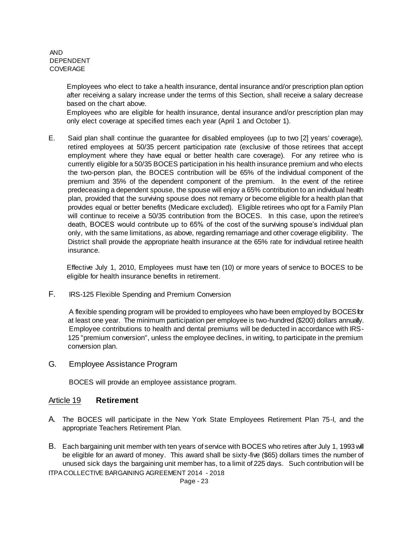AND DEPENDENT COVERAGE

> Employees who elect to take a health insurance, dental insurance and/or prescription plan option after receiving a salary increase under the terms of this Section, shall receive a salary decrease based on the chart above.

> Employees who are eligible for health insurance, dental insurance and/or prescription plan may only elect coverage at specified times each year (April 1 and October 1).

E. Said plan shall continue the guarantee for disabled employees (up to two [2] years' coverage), retired employees at 50/35 percent participation rate (exclusive of those retirees that accept employment where they have equal or better health care coverage). For any retiree who is currently eligible for a 50/35 BOCES participation in his health insurance premium and who elects the two-person plan, the BOCES contribution will be 65% of the individual component of the premium and 35% of the dependent component of the premium. In the event of the retiree predeceasing a dependent spouse, the spouse will enjoy a 65% contribution to an individual health plan, provided that the surviving spouse does not remarry or become eligible for a health plan that provides equal or better benefits (Medicare excluded). Eligible retirees who opt for a Family Plan will continue to receive a 50/35 contribution from the BOCES. In this case, upon the retiree's death, BOCES would contribute up to 65% of the cost of the surviving spouse's individual plan only, with the same limitations, as above, regarding remarriage and other coverage eligibility. The District shall provide the appropriate health insurance at the 65% rate for individual retiree health insurance.

Effective July 1, 2010, Employees must have ten (10) or more years of service to BOCES to be eligible for health insurance benefits in retirement.

F. IRS-125 Flexible Spending and Premium Conversion

A flexible spending program will be provided to employees who have been employed by BOCES for at least one year. The minimum participation per employee is two-hundred (\$200) dollars annually. Employee contributions to health and dental premiums will be deducted in accordance with IRS-125 "premium conversion", unless the employee declines, in writing, to participate in the premium conversion plan.

G. Employee Assistance Program

BOCES will provide an employee assistance program.

#### Article 19 **Retirement**

- A. The BOCES will participate in the New York State Employees Retirement Plan 75-I, and the appropriate Teachers Retirement Plan.
- ITPA COLLECTIVE BARGAINING AGREEMENT 2014 2018 B. Each bargaining unit member with ten years of service with BOCES who retires after July 1, 1993 will be eligible for an award of money. This award shall be sixty-five (\$65) dollars times the number of unused sick days the bargaining unit member has, to a limit of 225 days. Such contribution wil l be

Page - 23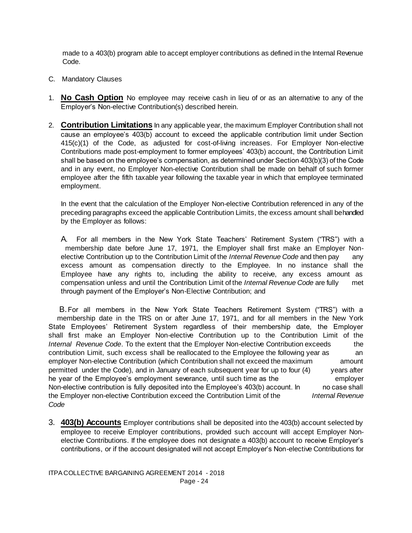made to a 403(b) program able to accept employer contributions as defined in the Internal Revenue Code.

- C. Mandatory Clauses
- 1. **No Cash Option** No employee may receive cash in lieu of or as an alternative to any of the Employer's Non-elective Contribution(s) described herein.
- 2. **Contribution Limitations** In any applicable year, the maximum Employer Contribution shall not cause an employee's 403(b) account to exceed the applicable contribution limit under Section 415(c)(1) of the Code, as adjusted for cost-of-living increases. For Employer Non-elective Contributions made post-employment to former employees' 403(b) account, the Contribution Limit shall be based on the employee's compensation, as determined under Section 403(b)(3) of the Code and in any event, no Employer Non-elective Contribution shall be made on behalf of such former employee after the fifth taxable year following the taxable year in which that employee terminated employment.

In the event that the calculation of the Employer Non-elective Contribution referenced in any of the preceding paragraphs exceed the applicable Contribution Limits, the excess amount shall be handled by the Employer as follows:

A. For all members in the New York State Teachers' Retirement System ("TRS") with a membership date before June 17, 1971, the Employer shall first make an Employer Nonelective Contribution up to the Contribution Limit of the *Internal Revenue Code* and then pay any excess amount as compensation directly to the Employee. In no instance shall the Employee have any rights to, including the ability to receive, any excess amount as compensation unless and until the Contribution Limit of the *Internal Revenue Code* are fully met through payment of the Employer's Non-Elective Contribution; and

 B.For all members in the New York State Teachers Retirement System ("TRS") with a membership date in the TRS on or after June 17, 1971, and for all members in the New York State Employees' Retirement System regardless of their membership date, the Employer shall first make an Employer Non-elective Contribution up to the Contribution Limit of the *Internal Revenue Code*. To the extent that the Employer Non-elective Contribution exceeds the contribution Limit, such excess shall be reallocated to the Employee the following year as an employer Non-elective Contribution (which Contribution shall not exceed the maximum amount permitted under the Code), and in January of each subsequent year for up to four (4) years after he year of the Employee's employment severance, until such time as the employer Non-elective contribution is fully deposited into the Employee's 403(b) account. In no case shall the Employer non-elective Contribution exceed the Contribution Limit of the *Internal Revenue Code*

3. **403(b) Accounts** Employer contributions shall be deposited into the 403(b) account selected by employee to receive Employer contributions, provided such account will accept Employer Nonelective Contributions. If the employee does not designate a 403(b) account to receive Employer's contributions, or if the account designated will not accept Employer's Non-elective Contributions for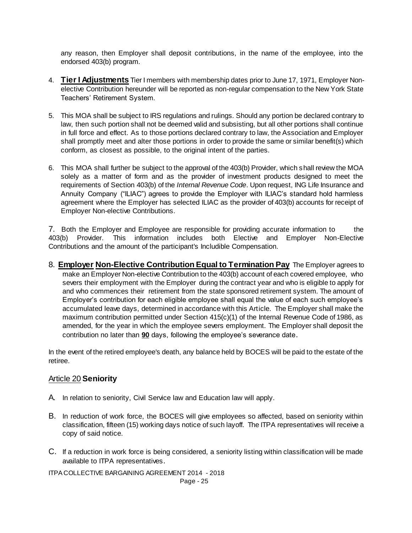any reason, then Employer shall deposit contributions, in the name of the employee, into the endorsed 403(b) program.

- 4. **Tier I Adjustments** Tier I members with membership dates prior to June 17, 1971, Employer Nonelective Contribution hereunder will be reported as non-regular compensation to the New York State Teachers' Retirement System.
- 5. This MOA shall be subject to IRS regulations and rulings. Should any portion be declared contrary to law, then such portion shall not be deemed valid and subsisting, but all other portions shall continue in full force and effect. As to those portions declared contrary to law, the Association and Employer shall promptly meet and alter those portions in order to provide the same or similar benefit(s) which conform, as closest as possible, to the original intent of the parties.
- 6. This MOA shall further be subject to the approval of the 403(b) Provider, which shall review the MOA solely as a matter of form and as the provider of investment products designed to meet the requirements of Section 403(b) of the *Internal Revenue Code*. Upon request, ING Life Insurance and Annuity Company ("ILIAC") agrees to provide the Employer with ILIAC's standard hold harmless agreement where the Employer has selected ILIAC as the provider of 403(b) accounts for receipt of Employer Non-elective Contributions.

7. Both the Employer and Employee are responsible for providing accurate information to the 403(b) Provider. This information includes both Elective and Employer Non-Elective Contributions and the amount of the participant's Includible Compensation.

8. **Employer Non-Elective Contribution Equal to Termination Pay** The Employer agrees to make an Employer Non-elective Contribution to the 403(b) account of each covered employee, who severs their employment with the Employer during the contract year and who is eligible to apply for and who commences their retirement from the state sponsored retirement system. The amount of Employer's contribution for each eligible employee shall equal the value of each such employee's accumulated leave days, determined in accordance with this Article. The Employer shall make the maximum contribution permitted under Section 415(c)(1) of the Internal Revenue Code of 1986, as amended, for the year in which the employee severs employment. The Employer shall deposit the contribution no later than **90** days, following the employee's severance date.

In the event of the retired employee's death, any balance held by BOCES will be paid to the estate of the retiree.

## Article 20 **Seniority**

- A. In relation to seniority, Civil Service law and Education law will apply.
- B. In reduction of work force, the BOCES will give employees so affected, based on seniority within classification, fifteen (15) working days notice of such layoff. The ITPA representatives will receive a copy of said notice.
- C. If a reduction in work force is being considered, a seniority listing within classification will be made available to ITPA representatives.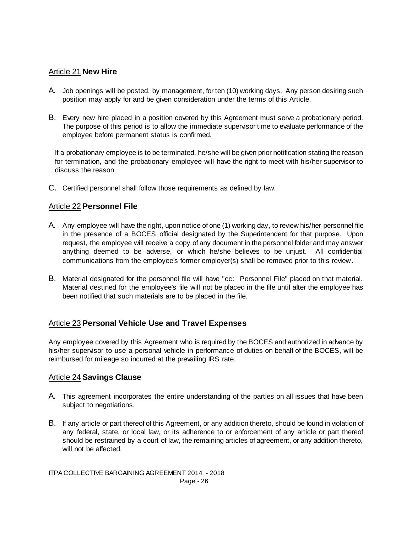### Article 21 **New Hire**

- A. Job openings will be posted, by management, for ten (10) working days. Any person desiring such position may apply for and be given consideration under the terms of this Article.
- B. Every new hire placed in a position covered by this Agreement must serve a probationary period. The purpose of this period is to allow the immediate supervisor time to evaluate performance of the employee before permanent status is confirmed.

If a probationary employee is to be terminated, he/she will be given prior notification stating the reason for termination, and the probationary employee will have the right to meet with his/her supervisor to discuss the reason.

C. Certified personnel shall follow those requirements as defined by law.

### Article 22 **Personnel File**

- A. Any employee will have the right, upon notice of one (1) working day, to review his/her personnel file in the presence of a BOCES official designated by the Superintendent for that purpose. Upon request, the employee will receive a copy of any document in the personnel folder and may answer anything deemed to be adverse, or which he/she believes to be unjust. All confidential communications from the employee's former employer(s) shall be removed prior to this review.
- B. Material designated for the personnel file will have "cc: Personnel File" placed on that material. Material destined for the employee's file will not be placed in the file until after the employee has been notified that such materials are to be placed in the file.

## Article 23 **Personal Vehicle Use and Travel Expenses**

Any employee covered by this Agreement who is required by the BOCES and authorized in advance by his/her supervisor to use a personal vehicle in performance of duties on behalf of the BOCES, will be reimbursed for mileage so incurred at the prevailing IRS rate.

### Article 24 **Savings Clause**

- A. This agreement incorporates the entire understanding of the parties on all issues that have been subject to negotiations.
- B. If any article or part thereof of this Agreement, or any addition thereto, should be found in violation of any federal, state, or local law, or its adherence to or enforcement of any article or part thereof should be restrained by a court of law, the remaining articles of agreement, or any addition thereto, will not be affected.